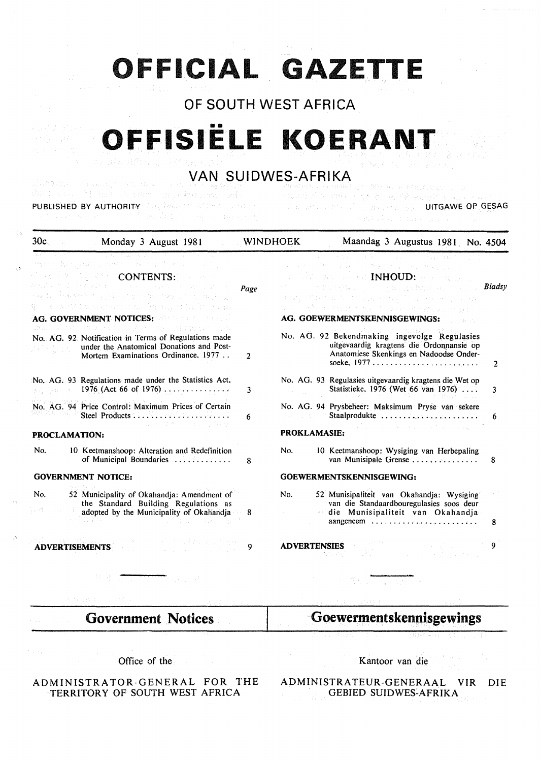# **OFFICIAL GAZETTE**

# OF SOUTH WEST AFRICA

# **OFFISIËLE KOERAN**

# VAN SUIDWES-AFRIKA

action of the main also preventions and environmental PUBLISHED BY AUTHORITY US, INCLUDE STORE IS IN STREAMED BY THE SECOND PROPERTY OF GESAG

กรมเอง เจ้ารถ สิงค์ การโรงเ

| 30c           | Monday 3 August 1981                                                                                                                                                                                                                                                                                                                                                                                                                                                                                                                                                                                                                                                                                                                                 |                | <b>WINDHOEK</b><br>Maandag 3 Augustus 1981 No. 4504                                                                                                                                                                                                                                                                                                                                                                                                                                   |              |
|---------------|------------------------------------------------------------------------------------------------------------------------------------------------------------------------------------------------------------------------------------------------------------------------------------------------------------------------------------------------------------------------------------------------------------------------------------------------------------------------------------------------------------------------------------------------------------------------------------------------------------------------------------------------------------------------------------------------------------------------------------------------------|----------------|---------------------------------------------------------------------------------------------------------------------------------------------------------------------------------------------------------------------------------------------------------------------------------------------------------------------------------------------------------------------------------------------------------------------------------------------------------------------------------------|--------------|
|               | embre du claudi reprezir du caregorier con qu<br>$\mathbb{E}[\mathbb{E}[\mathbb{E}[\mathbb{E}[\mathbb{E}[\mathbb{E}[\mathbb{E}[\mathbb{E}[\mathbb{E}[\mathbb{E}[\mathbb{E}[\mathbb{E}[\mathbb{E}[\mathbb{E}[\mathbb{E}[\mathbb{E}[\mathbb{E}[\mathbb{E}[\mathbb{E}[\mathbb{E}[\mathbb{E}[\mathbb{E}[\mathbb{E}[\mathbb{E}[\mathbb{E}[\mathbb{E}[\mathbb{E}[\mathbb{E}[\mathbb{E}[\mathbb{E}[\mathbb{E}[\mathbb{E}[\mathbb{E}[\mathbb{E}[\mathbb{E}[\mathbb{E}[\mathbb{$<br>de partial estatunidades se concelho de la capacidad de la provincia de la capacidad de la capacidad de la cap<br>化塞尔二氨基甲酸 的第三人称形式 化氯化盐酸 医抗炎 网络新城之<br>ge induce the transposition are the alignst believe the as-<br>AG. GOVERNMENT NOTICES: And the state of the setting | Page           | in the constitution of the company of the<br>and others. The court between 1990 to the condition of the DNA con-<br>and all none are set $\mathbf{INHOLD:}$ when $\mathbb{Q}$ and $\mathbb{Q}$ .<br>the comment of the comment of the state of the state of the state of the state of the state of the state of the<br>teory of them any North County Related on the present and the<br>tink i steðs less hallað mellan hvor henn hefur yri smagger.<br>AG. GOEWERMENTSKENNISGEWINGS: | Bladsy       |
|               | models on any official strage dimensions.<br>No. AG. 92 Notification in Terms of Regulations made<br>under the Anatomical Donations and Post-<br>Mortem Examinations Ordinance, 1977                                                                                                                                                                                                                                                                                                                                                                                                                                                                                                                                                                 | $\overline{2}$ | No. AG. 92 Bekendmaking ingevolge Regulasies<br>uitgevaardig kragtens die Ordonnansie op<br>Anatomiese Skenkings en Nadoodse Onder-<br>soeke, $1977$                                                                                                                                                                                                                                                                                                                                  | $\mathbf{2}$ |
|               | No. AG. 93 Regulations made under the Statistics Act,                                                                                                                                                                                                                                                                                                                                                                                                                                                                                                                                                                                                                                                                                                | 3              | No. AG. 93 Regulasies uitgevaardig kragtens die Wet op<br>Statistieke, 1976 (Wet 66 van 1976)                                                                                                                                                                                                                                                                                                                                                                                         | 3            |
|               | No. AG. 94 Price Control: Maximum Prices of Certain<br>Steel Products<br>s de la Vienna de Salvadore                                                                                                                                                                                                                                                                                                                                                                                                                                                                                                                                                                                                                                                 | 6              | No. AG. 94 Prysbeheer: Maksimum Pryse van sekere<br>Staalprodukte<br>and the first of<br>a Marine State State Construction and                                                                                                                                                                                                                                                                                                                                                        | 6            |
| PROCLAMATION: |                                                                                                                                                                                                                                                                                                                                                                                                                                                                                                                                                                                                                                                                                                                                                      |                | <b>PROKLAMASIE:</b>                                                                                                                                                                                                                                                                                                                                                                                                                                                                   |              |
| No.           | 10 Keetmanshoop: Alteration and Redefinition<br>of Municipal Boundaries                                                                                                                                                                                                                                                                                                                                                                                                                                                                                                                                                                                                                                                                              | 8              | No.<br>10 Keetmanshoop: Wysiging van Herbepaling<br>van Munisipale Grense                                                                                                                                                                                                                                                                                                                                                                                                             | 8            |
|               | <b>GOVERNMENT NOTICE:</b>                                                                                                                                                                                                                                                                                                                                                                                                                                                                                                                                                                                                                                                                                                                            |                | GOEWERMENTSKENNISGEWING:                                                                                                                                                                                                                                                                                                                                                                                                                                                              |              |
| No.<br>ok di  | 52 Municipality of Okahandja: Amendment of<br>the Standard Building Regulations as<br>adopted by the Municipality of Okahandja                                                                                                                                                                                                                                                                                                                                                                                                                                                                                                                                                                                                                       | 8              | No.<br>52 Munisipaliteit van Okahandia: Wysiging<br>van die Standaardbouregulasies soos deur<br>die Munisipaliteit van Okahandja                                                                                                                                                                                                                                                                                                                                                      | 8            |
|               | Page 1940 L<br>オープ 内装込む おこと せい<br><b>ADVERTISEMENTS</b><br>$\mathcal{L}^{\mathcal{L}}$ , where $\mathcal{L}^{\mathcal{L}}$ and $\mathcal{L}^{\mathcal{L}}$ and $\mathcal{L}^{\mathcal{L}}$ and $\mathcal{L}^{\mathcal{L}}$                                                                                                                                                                                                                                                                                                                                                                                                                                                                                                                           | 9              | $\mathcal{L}^{\mathcal{L}}$ and the set of the set of the set of the set of the set of the set of the set of the set of the set of the set of the set of the set of the set of the set of the set of the set of the set of the set of the<br><b>ADVERTENSIES</b><br>$\label{eq:2.1} \mathcal{L}=\mathcal{L}^{\text{max}}\left(\mathcal{L}^{\text{max}}\right) \mathcal{L}^{\text{max}}\left(\mathcal{L}^{\text{max}}\right) \mathcal{L}^{\text{max}}$                                 | 9            |
|               |                                                                                                                                                                                                                                                                                                                                                                                                                                                                                                                                                                                                                                                                                                                                                      |                |                                                                                                                                                                                                                                                                                                                                                                                                                                                                                       |              |
|               | 机静电器器                                                                                                                                                                                                                                                                                                                                                                                                                                                                                                                                                                                                                                                                                                                                                |                |                                                                                                                                                                                                                                                                                                                                                                                                                                                                                       |              |
|               | <b>Government Notices</b>                                                                                                                                                                                                                                                                                                                                                                                                                                                                                                                                                                                                                                                                                                                            |                | Goewermentskennisgewings                                                                                                                                                                                                                                                                                                                                                                                                                                                              |              |
|               |                                                                                                                                                                                                                                                                                                                                                                                                                                                                                                                                                                                                                                                                                                                                                      |                |                                                                                                                                                                                                                                                                                                                                                                                                                                                                                       |              |

Office of the

ADMINISTRATOR-GENERAL FOR THE TERRITORY OF SOUTH WEST AFRICA

Kantoor van die

ADMINISTRATEUR-GENERAAL VIR DIE GEBIED SUIDWES-AFRIKA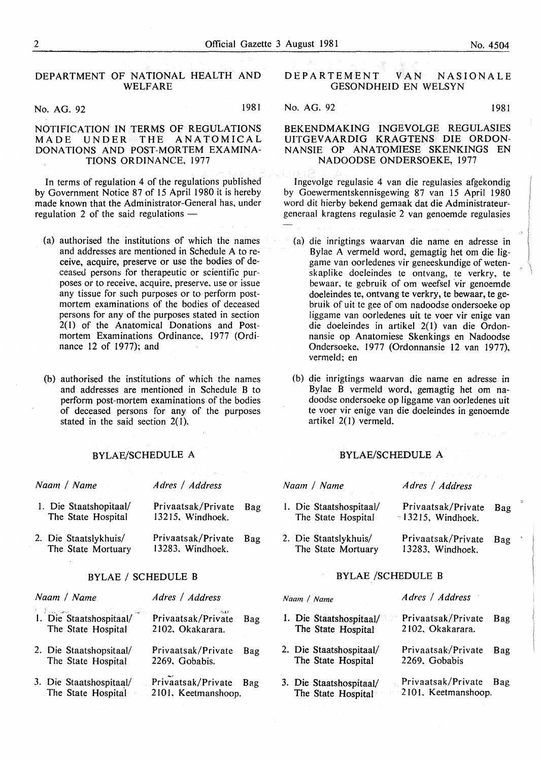#### DEPARTMENT OF NATIONAL HEALTH AND WELFARE

No. AG. 92 1981

#### NOTIFICATION IN TERMS OF REGULATIONS<br>MADE UNDER THE ANATOMICAL UNDER THE ANATOMICAL DONATIONS AND POST-MORTEM EXAMINA-TIONS ORDINANCE, 1977

In terms of regulation 4 of the regulations published by Government Notice 87 of 15 April 1980 it is hereby made known that the Administrator-General has, under regulation 2 of the said regulations  $-$ 

- (a) authorised the institutions of which the names and addresses are mentioned in Schedule A to receive, acquire, preserve or use the bodies of deceased persons for therapeutic or scientific purposes or to receive, acquire, preserve, use or issue any tissue for such purposes or to perform postmortem examinations of the bodies of deceased persons for any of the purposes stated in section 2(1) of the Anatomical Donations and Postmortem Examinations Ordinance, 1977 (Ordinance 12 of 1977); and
- (b) authorised the institutions of which the names and addresses are mentioned in Schedule B to perform post-mortem examinations of the bodies of deceased persons for any of the purposes stated in the said section  $2(1)$ .

#### BYLAE/SCHEDULE A

| Naam / Name                                  | Adres / Address                        |     |
|----------------------------------------------|----------------------------------------|-----|
| 1. Die Staatshopitaal/<br>The State Hospital | Privaatsak/Private<br>13215, Windhoek. | Bag |
| 2. Die Staatslykhuis/<br>The State Mortuary  | Privaatsak/Private<br>13283, Windhoek. | Bag |

#### BYLAE / SCHEDULE B BYLAE /SCHEDULE B

| Naam / Name |                                               | Adres / Address                           |     |  |
|-------------|-----------------------------------------------|-------------------------------------------|-----|--|
|             | 1. Die Staatshospitaal/<br>The State Hospital | Privaatsak/Private<br>2102, Okakarara.    | Bag |  |
|             | 2. Die Staatshopsitaal/<br>The State Hospital | Privaatsak/Private<br>2269. Gobabis.      | Bag |  |
|             | 3. Die Staatshospitaal/<br>The State Hospital | Privaatsak/Private<br>2101. Keetmanshoop. | Bag |  |

## DEPARTEMENT VAN NASIONALE GESONDHEID EN WELSYN

No. AG. 92 1981

BEKENDMAKING INGEVOLGE REGULASIES UITGEV AARDIG KRAGTENS DIE ORDON-NANSIE OP ANATOMIESE SKENKINGS EN

lngevolge regulasie 4 van die regulasies afgekondig by Goewermentskennisgewing 87 van 15 April 1980 word dit hierby bekend gemaak dat die Administrateurgcneraal kragtens regulasie 2 van genoemde regulasies

NADOODSE ONDERSOEKE, 1977

- (a) die inrigtings waarvan die name en adresse in Bylae A vermeld word, gemagtig het om die liggame van oorledenes vir geneeskundige of wetenskaplike doeleindes te ontvang, te verkry, te bewaar, te gebruik of om weefsel vir genoemde doeleindes te, ontvang te verkry, te bewaar, te gebruik of uit te gee of om nadoodse ondersoeke op liggame van oorledenes uit te voer vir enige van die doeleindes in artikel 2(1) van die Ordonnansie op Anatomiese Skenkings en Nadoodse Ondersoeke, 1977 (Ordonnansie 12 van 1977), vermeld; en
- (b) die inrigtings waarvan die name en adresse in Bylae B vermeld word, gemagtig het om nadoodse ondersoeke op liggame van oorledenes uit te voer vir enige van die doeleindes in genoemde artikel 2( I) vermeld.

#### BYLAE/SCHEDULE A

| Naam / Name                                   | Adres / Address                                   |  |
|-----------------------------------------------|---------------------------------------------------|--|
| 1. Die Staatshospitaal/<br>The State Hospital | Privaatsak/Private<br>Bag<br>$-13215$ , Windhoek. |  |
| 2. Die Staatslykhuis/<br>The State Mortuary   | Privaatsak/Private<br>Bag<br>13283, Windhoek.     |  |

| Naam / Name                                   | Adres / Address                           |            |
|-----------------------------------------------|-------------------------------------------|------------|
| 1. Die Staatshospitaal/<br>The State Hospital | Privaatsak/Private<br>2102. Okakarara.    | Bag        |
| 2. Die Staatshospitaal/<br>The State Hospital | Privaatsak/Private<br>2269. Gobabis       | <b>Bag</b> |
| 3. Die Staatshospitaal/<br>The State Hospital | Privaatsak/Private<br>2101. Keetmanshoop. | Bag        |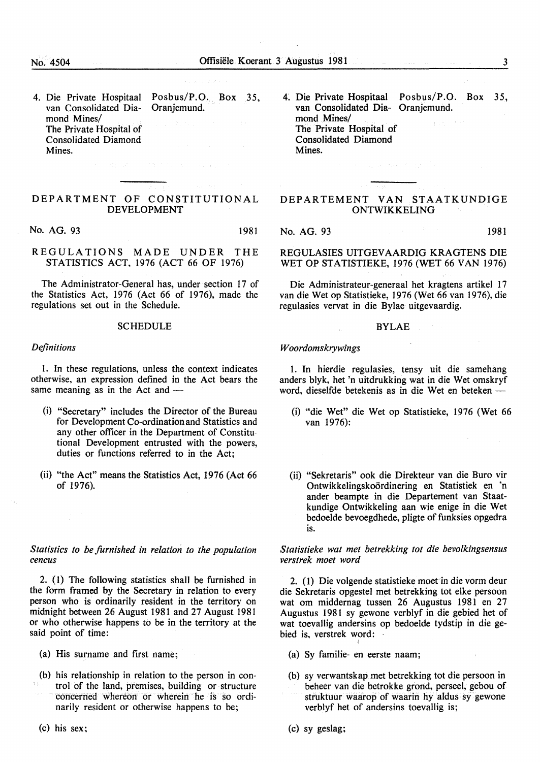4. Die Private Hospitaal van Consolidated Diamond Mines/ The Private Hospital of Consolidated Diamond Mines. Posbus/P.O. Box 35, Oranjemund.

#### DEPARTMENT OF CONSTITUTIONAL DEVELOPMENT

No. AG. 93 1981

REGULATIONS MADE UNDER THE STATISTICS ACT, 1976 (ACT 66 OF 1976)

The Administrator-General has, under section 17 of the Statistics Act, 1976 (Act 66 of 1976), made the regulations set out in the Schedule.

#### **SCHEDULE**

#### *Definitions*

1. In these regulations, unless the context indicates otherwise, an expression defined in the Act bears the same meaning as in the Act and -

- (i) "Secretary" includes the Director of the Bureau for Development Co-ordination and Statistics and any other officer in the Department of Constitutional Development entrusted with the powers, duties or functions referred to in the Act;
- (ii) "the Act" means the Statistics Act, 1976 (Act 66) of 1976).

*Statistics to be furnished in relation to the population cencus* 

2. (1) The following statistics shall be furnished in the form framed by the Secretary in relation to every person who is ordinarily resident in the territory on midnight between 26 August 1981 and 27 August 1981 or who otherwise happens to be in the territory at the said point of time:

- (a) His surname and first name;
- (b) his relationship in relation to the person in control of the land, premises, building or structure concerned whereon or wherein he is so ordinarily resident or otherwise happens to be;
- (c) his sex;

4. Die Private Hospitaal Posbus/P.O. Box 35, van Consolidated Dia-Oranjemund. mond Mines/ The Private Hospital of Consolidated Diamond Mines.

#### DEPARTEMENT VAN STAATKUNDIGE ONTWIKKELING

No. AG. 93 1981

REGULASIES UITGEV AARDIG KRAGTENS DIE WET OP STATISTIEKE, 1976 (WET 66 VAN 1976)

Die Administrateur-generaal bet kragtens artikel 17 van die Wet op Statistieke, 1976 (Wet 66 van 1976), die regulasies vervat in die Bylae uitgevaardig.

#### BYLAE

#### *Woordomskrywings*

1. In hierdie regulasies, tensy uit die samehang anders blyk, het 'n uitdrukking wat in die Wet omskryf word, dieselfde betekenis as in die Wet en beteken-

- (i) "die Wet" die Wet op Statistieke, 1976 (Wet 66 van 1976):
- (ii) "Sekretaris" ook die Direkteur van die Buro vir Ontwikkelingskoordinering en Statistiek en 'n ander beampte in die Departement van Staatkundige Ontwikkeling aan wie enige in die Wet bedoelde bevoegdhede, pligte of funksies opgedra is.

*Statistieke wat met betrekking tot die bevolkingsensus verstrek moet word* 

2. (1) Die volgende statistieke moet in die vorm deur die Sekretaris opgestel met betrekking tot elke persoon wat om middernag tussen 26 Augustus 1981 en 27 Augustus 1981 sy gewone verblyf in die gebied bet of wat toevallig andersins op bedoelde tydstip in die gebied is, verstrek word:

- (a) Sy familie- en eerste naam;
- (b) sy verwantskap met betrekking tot die persoon in beheer van die betrokke grond, perseel, gebou of struktuur waarop of waarin hy aldus sy gewone verblyf het of andersins toevallig is;
- (c) sy geslag;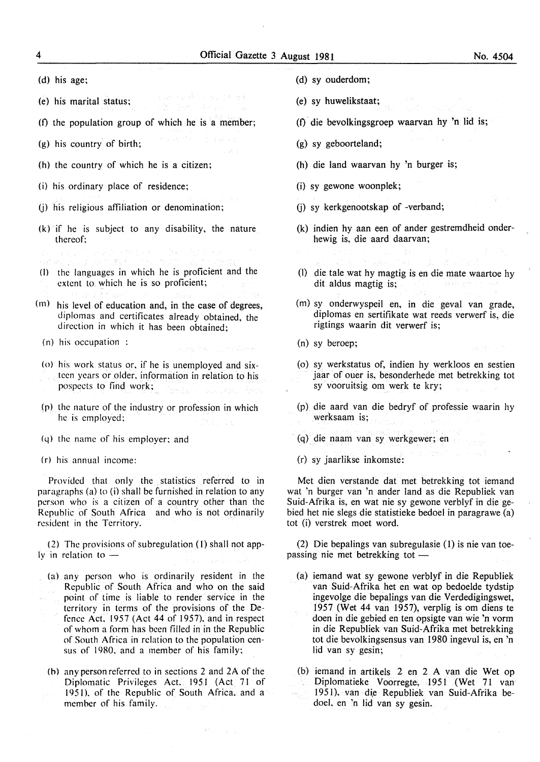(d) his age;

- (e) his marital status; R' hat the pol
- (f) the population group of which he is a member;
- (g) his country of birth;
- (h) the country of which he is a citizen;
- (i) his ordinary place of residence;
- (j) his religious affiliation or denomination;
- $(k)$  if he is subject to any disability, the nature thereof:
- 了, 好的地位。
- (I) the languages in which he is proficient and the extent to which he is so proficient;
- (m) his level of education and, in the case of degrees, diplomas and certificates already obtained, the direction in which it has been obtained;
	- (n) his occupation :
- ( o) his work status or, if he is unemployed and sixteen years or older. information in relation to his pospects to find work;

a service of explorers.

- (p) the nature of the industry or profession in which he is employed:
- *(* q) the name of his employer; and
- (r) his annual income:

Provided that only the statistics referred to in paragraphs (a) to (i) shall be furnished in relation to any person who is a citizen of a country other than the Republic of South Africa and who is not ordinarily resident in the Territory.

(2) The provisions of subregulation (I) shall not app-Iv in relation to  $-$ 

- (a) any person who is ordinarily resident in the Republic of South Africa and who on the said point of time is liable to render service in the territory in terms of the provisions of the Defence Act. 1957 (Act 44 of 1957). and in respect of whom a form has been filled in in the Republic of South Africa in relation to the population census of 1980. and a member of his family;
- (b) anypersonreferred to in sections 2 and 2A of the Diplomatic Privileges Act. 1951 (Act 71 of 1951), of the Republic of South Africa. and a member of his family.
- (d) sy ouderdom;
- (e) sy huwelikstaat;
- (f)· die bevolkingsgroep waarvan hy 'n lid is;
- (g) sy geboorteland;
- (h) die land waarvan hy 'n burger is;
- (i) sy gewone woonplek;
- (j) sy kerkgenootskap of -verband;
- (k) indien hy aan een of ander gestremdheid onderhewig is, die aard daarvan;

- (I) die tale wat hy magtig is en die mate waartoe hy dit aldus magtig is;
- (m) sy onderwyspeil en, in die geval van grade, diplomas en sertifikate wat reeds verwerf is, die rigtings waarin dit verwerf is;
- (n) sy beroep;
- (o) sy werkstatus of, indien hy werkloos en sestien jaar of ouer is, besonderhede met betrekking tot sy vooruitsig om werk te kry;
- (p) die aard van die bedryf of professie waarin hy werksaam is;
- (q) die naam van sy werkgewer; en
- (r) sy jaarlikse inkomste:

Met dien verstande dat met betrekking tot iemand wat 'n burger van 'n ander land as die Republiek van Suid-Afrika is, en wat nie sy gewone verblyf in die gebied het nie slegs die statistieke bedoel in paragrawe (a) tot (i) verstrek moet word.

(2) Die bepalings van subregulasie (1) is nie van toepassing nie met betrekking tot -

- (a) iemand wat sy gewone verblyf in die Republiek van Suid-Afrika het en wat op bedoelde tydstip ingevolge die bepalings van die Verdedigingswet, 1957 (Wet 44 van 1957), verplig is om diens te doen in die gebied en ten opsigte van wie 'n vorm in die Republiek van Suid-Afrika met betrekking tot die bevolkingsensus van 1980 ingevul is, en 'n lid van sy gesin;
- (b) iemand in artikels 2 en 2 A van die Wet op Diplomatieke Voorregte, 1951 (Wet 71 van 1951), van die Republiek van Suid-Afrika bedoel. en 'n lid van sy gesin.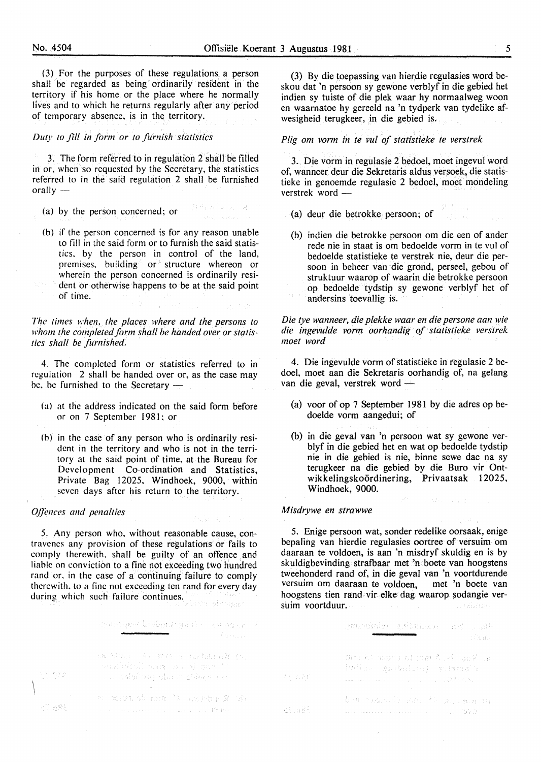(3) For the purposes of these regulations a person shall be regarded as being ordinarily resident in the territory if his home or the place where he normally lives and to which he returns regularly after any period of temporary absence, is in the territory.

*Duty to fill in form or to furnish statistics* 

3. The form referred to in regulation 2 shall be filled in or, when so requested by the Secretary, the statistics referred to in the said regulation 2 shall be furnished orally  $-$ 

突着 どうししゅつ

(a) by the person concerned; or

(b) if the person concerned is for any reason unable to fill in the said form or to furnish the said statistics. by the person in control of the land, premises, building or structure whereon or wherein the person concerned is ordinarily resident or otherwise happens to be at the said point of time.

*The times when, the places where and the persons to*  whom the completed form shall be handed over or statis*tics shall be furnished.* 

4. The completed form or statistics referred to in regulation 2 shall be handed over or, as the case may be, be furnished to the Secretary -

- (a) at the address indicated on the said form before or on 7 September 1981; or
- (b) in the case of any person who is ordinarily resident in the territory and who is not in the territory at the said point of time, at the Bureau for Development Co-ordination and Statistics, Private Bag 12025, Windhoek, 9000, within seven days after his return to the territory.

#### *O.ffences and penalties*

5. Any person who. without reasonable cause, contravenes any provision of these regulations or fails to comply therewith. shall be guilty of an offence and liable on conviction to a fine not exceeding two hundred rand or. in the case of a continuing failure to comply therewith. to a fine not exceeding ten rand for every day during which such failure continues. ilase obta<sub>lan</sub>i

> chart gest brobeningdid - Ethiopie F 88 75Dat - Ro Roto o Harfalter为 (o) senabelisti mare son al most s succeed and about chief war of some the me 't marker of the a conservativa de la conservación del p

(3) By die toepassing van hierdie regulasies word beskou dat 'n persoon sy gewone verblyf in die gebied het indien sy tuiste of die plek waar hy normaalweg woon en waarnatoe hy gereeld na 'n tydperk van tydelike afwesigheid terugkeer, in die gebied is.

#### *Plig om vorm in te vul of statistieke te verstrek*

3. Die vorm in regulasie 2 bedoel, moet ingevul word of, wanneer deur die Sekretaris aldus versoek, die statistieke in genoemde regulasie 2 bedoel, moet mondeling verstrek word -

 $f^*\left(\frac{1}{2},\frac{1}{2}\right)$ 

- (a) deur die betrokke persoon; of
- (b) indien die betrokke persoon om die een of ander rede nie in staat is om bedoelde vorm in te vul of bedoelde statistieke te verstrek nie, deur die persoon in beheer van die grond, perseel, gebou of struktuur waarop of waarin die betrokke persoon op bedoelde tydstip sy gewone verblyf het of andersins toevallig is.

*Die tye wanneer, die plekke waar en die persone aan wie die ingevulde vorm oorhandig of statistieke verstrek moet word* 

4. Die ingevulde vorm of statistieke in regulasie 2 bedoe!, moet aan die Sekretaris oorhandig of, na gelang van die geval, verstrek word -

- (a) voor of op 7 September 1981 by die adres op bedoelde vorm aangedui; of
- (b) in die geval van 'n persoon wat sy gewone verblyf in die gebied het en wat op bedoelde tydstip nie in die gebied is nie, binne sewe dae na sy terugkeer na die gebied by die Buro vir Ontwikkelingskoördinering, Privaatsak 12025, Windhoek, 9000.

 $\mathcal{P}^{(n)}$  , and  $\mathcal{Q}^{(n)}$  , where  $\mathcal{Q}^{(n)}$  is

#### *Misdrywe en strawwe*

5. Enige persoon wat, sonder redelike oorsaak, enige bepaling van hierdie regulasies oortree of versuim om daaraan te voldoen, is aan 'n misdryf skuldig en is by skuldigbevinding strafbaar met 'n boete van hoogstens tweehonderd rand of, in die geval van 'n voortdurende versuim om daaraan te voldoen, met 'n boete van hoogstens tien rand vir elke dag waarop sodangie versuim voortduur.  $\sim 100$ . . . . . . . . . . . . . .

|        | ○株化2000000 まだおけしょう。 5:04 ○ 15:14<br>- Saub                                                                   |
|--------|--------------------------------------------------------------------------------------------------------------|
| さんはつめ  | 拼电 4% 电振动 61 的最大的 ( ) ( ) ( ) ( ) ( ) ( ) ( )<br>hallon andulus) quamola<br>- 「おんかん」 はんよう しょうようしょうしょう (読むなが) |
| 가지 일찍의 | the model of the first policies in<br>aasta aan ka saaraa samaan san ingiliyoo 1022. D                       |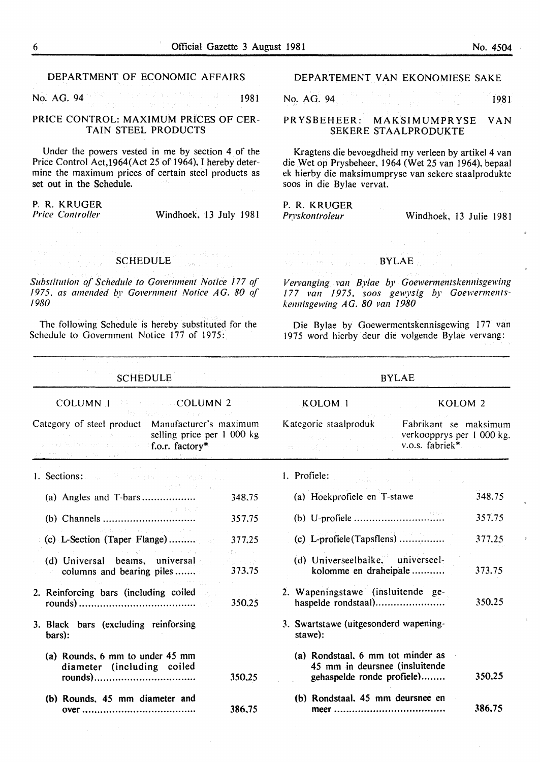ij.

è

 $\bar{a}$ 

 $\bar{\bar{\bar{z}}}$ 

 $\frac{1}{2}$ 

| DEPARTMENT OF ECONOMIC AFFAIRS                                                                                                                                                                     | DEPARTEMENT VAN EKONOMIESE SAKE                                                                                                                                                                                                                             |  |  |
|----------------------------------------------------------------------------------------------------------------------------------------------------------------------------------------------------|-------------------------------------------------------------------------------------------------------------------------------------------------------------------------------------------------------------------------------------------------------------|--|--|
| 1981<br>No. AG. 94                                                                                                                                                                                 | No. AG. 94<br>1981                                                                                                                                                                                                                                          |  |  |
| PRICE CONTROL: MAXIMUM PRICES OF CER-<br>TAIN STEEL PRODUCTS                                                                                                                                       | PRYSBEHEER:<br>MAKSIMUMPRYSE<br><b>VAN</b><br>SEKERE STAALPRODUKTE                                                                                                                                                                                          |  |  |
| Under the powers vested in me by section 4 of the<br>Price Control Act, 1964(Act 25 of 1964), I hereby deter-<br>mine the maximum prices of certain steel products as<br>set out in the Schedule.  | Kragtens die bevoegdheid my verleen by artikel 4 van<br>die Wet op Prysbeheer, 1964 (Wet 25 van 1964), bepaal<br>ek hierby die maksimumpryse van sekere staalprodukte<br>soos in die Bylae vervat.                                                          |  |  |
| P. R. KRUGER<br>Price Controller<br>Windhoek, 13 July 1981                                                                                                                                         | P. R. KRUGER<br>Windhoek, 13 Julie 1981<br>Pryskontroleur                                                                                                                                                                                                   |  |  |
|                                                                                                                                                                                                    |                                                                                                                                                                                                                                                             |  |  |
| state and strategies are all the<br>$\mathcal{H} \times \mathcal{H} \times \mathcal{H} \times \mathcal{L} \times \mathcal{L} \times \mathcal{L} \times \mathcal{H} \times \mathcal{H}$<br>SCHEDULE | and the control of the control of<br>$\hat{\mathcal{L}} = \{ \hat{\mathcal{L}}_1, \hat{\mathcal{L}}_2, \hat{\mathcal{L}}_3, \hat{\mathcal{L}}_4, \hat{\mathcal{L}}_5 \}$<br>なみは いけつき しょうしょう<br>where the second conditions $\mathbf{BYLAE}_{\mathrm{data}}$ |  |  |
| Substitution of Schedule to Government Notice 177 of<br>1975, as amended by Government Notice AG. 80 of<br>1980                                                                                    | Vervanging van Bylae by Goewermentskennisgewing<br>177 van 1975, soos gewysig by Goewerments-<br>kennisgewing AG. 80 van 1980                                                                                                                               |  |  |
| The following Schedule is hereby substituted for the<br>Schedule to Government Notice 177 of 1975:                                                                                                 | Die Bylae by Goewermentskennisgewing 177 van<br>1975 word hierby deur die volgende Bylae vervang:                                                                                                                                                           |  |  |
| <b>SCHEDULE</b>                                                                                                                                                                                    | <b>BYLAE</b>                                                                                                                                                                                                                                                |  |  |
|                                                                                                                                                                                                    | KOLOM <sub>1</sub><br>KOLOM <sub>2</sub>                                                                                                                                                                                                                    |  |  |
|                                                                                                                                                                                                    |                                                                                                                                                                                                                                                             |  |  |
| Article Committee of the Article<br>Category of steel product Manufacturer's maximum<br>selling price per 1 000 kg<br>しょうしょう あいしゃ はいしょう<br>and the second and all the officer, factory*            | Kategorie staalproduk<br>Fabrikant se maksimum<br>verkoopprys per 1 000 kg.<br><b>SAN DISTURBANCE CONTINUES</b><br>v.o.s. fabriek*<br>were allowed the pay                                                                                                  |  |  |
| 1. Sections:<br>Provincia di Parisi                                                                                                                                                                | 1. Profiele:<br>的复数复原 医双侧的 医无机能                                                                                                                                                                                                                             |  |  |
| 计分类系统 计程序<br>348,75                                                                                                                                                                                | (a) Hoekprofiele en T-stawe<br>348.75                                                                                                                                                                                                                       |  |  |
| <b>Contractor</b><br>357,75                                                                                                                                                                        | 357.75                                                                                                                                                                                                                                                      |  |  |
| はいしゅんたい しゃしいかん<br>$(c)$ L-Section (Taper Flange)<br>377,25                                                                                                                                         | $(c)$ L-profiele (Tapsflens)<br>377.25                                                                                                                                                                                                                      |  |  |
| れんしょ 公元 したん バート・エス エーリス<br>dia mana<br>(d) Universal beams, universal<br>الجرار المتراكبة<br>373,75<br>columns and bearing piles                                                                   | (d) Universeelbalke, universeel-<br>kolomme en draheipale<br>373.75                                                                                                                                                                                         |  |  |
| 2. Reinforcing bars (including coiled<br><b>Company</b><br>350.25                                                                                                                                  | 2. Wapeningstawe (insluitende ge-<br>350.25<br>haspelde rondstaal)                                                                                                                                                                                          |  |  |
| 3. Black bars (excluding reinforsing<br>bars):                                                                                                                                                     | 3. Swartstawe (uitgesonderd wapening-<br>stawe):                                                                                                                                                                                                            |  |  |
| (a) Rounds, 6 mm to under 45 mm<br>diameter (including coiled<br>350,25                                                                                                                            | (a) Rondstaal, 6 mm tot minder as<br>45 mm in deursnee (insluitende<br>350,25<br>gehaspelde ronde profiele)                                                                                                                                                 |  |  |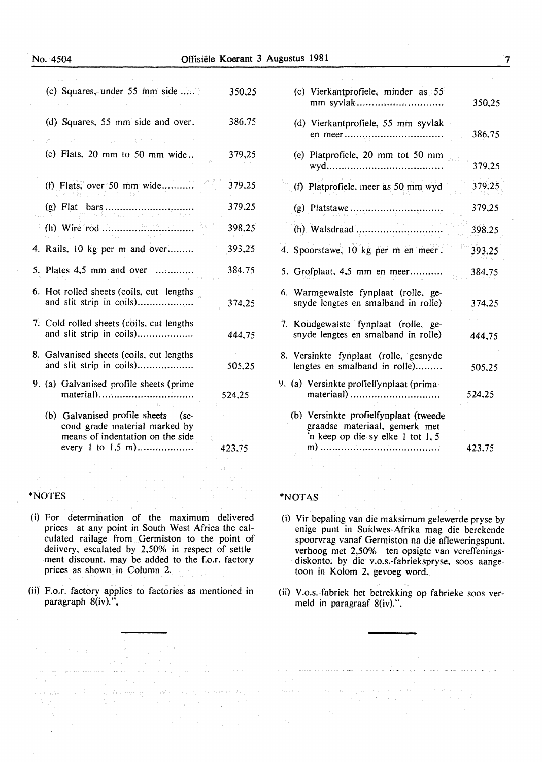#### No. 4504 Offisiele Koerant 3 Augustus 1981

| (c) Squares, under 55 mm side                                                                           | 350,25 |
|---------------------------------------------------------------------------------------------------------|--------|
| (d) Squares, 55 mm side and over.                                                                       | 386,75 |
| 的复数人名 网络大陆<br>(e) Flats, $20 \text{ mm}$ to $50 \text{ mm}$ wide                                        | 379,25 |
| (f) Flats, over 50 mm wide                                                                              | 379,25 |
|                                                                                                         | 379,25 |
|                                                                                                         | 398,25 |
| 4. Rails, 10 kg per m and over                                                                          | 393,25 |
| 5. Plates 4,5 mm and over                                                                               | 384,75 |
| 6. Hot rolled sheets (coils, cut lengths<br>and slit strip in coils)                                    | 374,25 |
| 7. Cold rolled sheets (coils, cut lengths<br>and slit strip in coils)                                   | 444.75 |
| 8. Galvanised sheets (coils, cut lengths<br>and slit strip in coils)                                    | 505,25 |
| 9. (a) Galvanised profile sheets (prime                                                                 | 524,25 |
| (b) Galvanised profile sheets (se-<br>cond grade material marked by<br>means of indentation on the side | 423.75 |
|                                                                                                         |        |

#### \*NOTES

- (i) For determination of the maximum delivered prices at any point in South West Africa the calculated railage from Germiston to the point of delivery. escalated by 2,50% in respect of settlement discount, may be added to the f.o.r. factory prices as shown in Column 2.
- (ii) F.o.r. factory applies to factories as mentioned in paragraph  $8(iv)$ .".

a ta 1990 - An Dùbhlach ann an 1992.<br>Bailtean Comhair an t-an 1992 - An t-an 1992.

 $\sum_{i=1}^n\frac{1}{2} \left\{ \left[ \left( \left( \frac{1}{2} \right)^2 \right)^2 \right] \left( \left( \frac{1}{2} \right)^2 \right)^2 \right\} \left( \left( \frac{1}{2} \right)^2 \right)^2 \right\} \left( \left( \frac{1}{2} \right)^2 \right)^2 \left( \frac{1}{2} \right)^2 \left( \frac{1}{2} \right)^2 \left( \frac{1}{2} \right)^2 \left( \frac{1}{2} \right)^2 \left( \frac{1}{2} \right)^2 \right)$ 

|  | (c) Vierkantprofiele, minder as 55<br>mm syvlak                                                            | 350,25 |
|--|------------------------------------------------------------------------------------------------------------|--------|
|  | (d) Vierkantprofiele, 55 mm syvlak                                                                         | 386,75 |
|  | (e) Platprofiele, 20 mm tot 50 mm                                                                          | 379.25 |
|  | (f) Platprofiele, meer as 50 mm wyd                                                                        | 379.25 |
|  |                                                                                                            | 379,25 |
|  |                                                                                                            | 398,25 |
|  | 4. Spoorstawe, 10 kg per m en meer.                                                                        | 393,25 |
|  | 5. Grofplaat, 4.5 mm en meer                                                                               | 384.75 |
|  | 6. Warmgewalste fynplaat (rolle, ge-<br>snyde lengtes en smalband in rolle)                                | 374,25 |
|  | 7. Koudgewalste fynplaat (rolle, ge-<br>snyde lengtes en smalband in rolle)                                | 444,75 |
|  | 8. Versinkte fynplaat (rolle, gesnyde<br>lengtes en smalband in rolle)                                     | 505.25 |
|  | 9. (a) Versinkte profielfynplaat (prima-<br>materiaal)                                                     | 524.25 |
|  | (b) Versinkte profielfynplaat (tweede<br>graadse materiaal, gemerk met<br>'n keep op die sy elke 1 tot 1,5 | 423.75 |

#### \*NOT AS

 $\gamma$  we get  $\gamma$  as  $\gamma=\gamma$  .

- (i) Vir bepaling van die maksimum gelewerde pryse by enige punt in Suidwes-Afrika mag die berekende spoorvrag vanaf Germiston na die afieweringspunt. verhoog met 2,50% ten opsigte van vereffeningsdiskonto. by die v.o.s.-fabriekspryse, soos aangetoon in Kolom 2. gevoeg word.
- (ii) V.o.s.-fabriek het betrekking op fabrieke soos vermeld in paragraaf 8(iv).".

للمستقل والمتابع والمتعاونات

 $\label{eq:2} \begin{split} \mathcal{L}^{(2)}(M_{\alpha}^{(1)})\otimes\mathcal{L}^{(1)}(M_{\alpha}^{(2)})\otimes\mathcal{L}^{(2)}(M_{\alpha}^{(1)})\otimes\mathcal{L}^{(2)}(M_{\alpha}^{(2)})\otimes\mathcal{L}^{(2)}(M_{\alpha}^{(1)})\otimes\mathcal{L}^{(2)}(M_{\alpha}^{(2)})\otimes\mathcal{L}^{(2)}(M_{\alpha}^{(2)})\otimes\mathcal{L}^{(2)}(M_{\alpha}^{(2)})\otimes\mathcal{L}^{(2)}(M_{\alpha}^{(2)})\otimes\$ 

7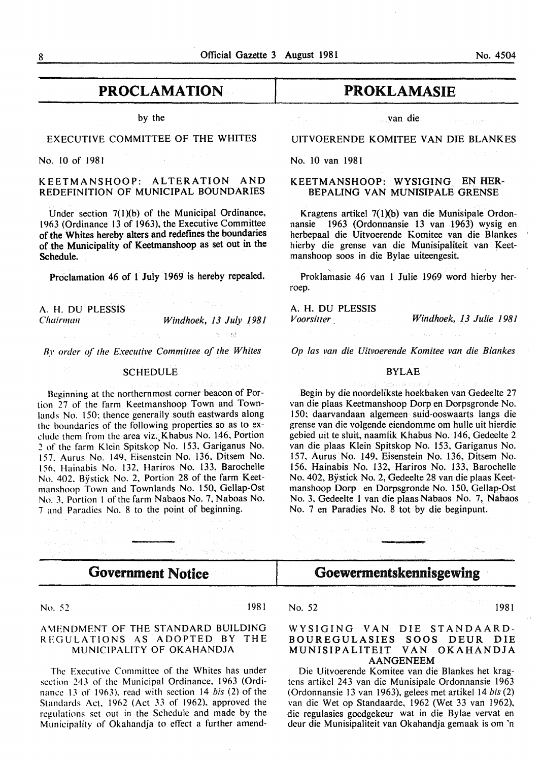# **PROCLAMATION**

by the

#### EXECUTIVE COMMITTEE OF THE WHITES

No. 10 of 1981

KEETMANSHOOP: ALTERATION AND REDEFINITION OF MUNICIPAL BOUNDARIES

Under section 7(l)(b) of the Municipal Ordinance, 1963 (Ordinance 13 of 1963), the Executive Committee of the Whites hereby alters and redefmes the boundaries of the Municipality of Keetmanshoop as set out in the Schedule.

Proclamation 46 of 1 July 1969 is hereby repealed.

A. H. DU PLESSIS

*Chairman Windhoek, 13 July 1981*  o Rena

*Ry order of the Executive Committee of the Whites* 

#### SCHEDULE

Beginning at the northernmost corner beacon of Portion 27 of the farm Keetmanshoop Town and Townlands No. 150: thence generally south eastwards along the boundaries of the following properties so as to exclude them from the area viz. Khabus No. 146, Portion *2* of the farm Klein Spitskop No. 153, Gariganus No. 157. Aurus No. 149. Eisenstein No. 136, Ditsem No. 15o. Hainabis No. 132. Hariros No. 133, Barochelle No. 402. Bystick No. 2. Portion 28 of the farm Keetmanshoop Town and Townlands No. 150, Gellap-Ost No.3. Portion I of the farm Nabaos No.7, Naboas No. 7 and Paradies No. 8 to the point of beginning.

# PROKLAMASIE

van die

#### UITVOERENDE KOMITEE VAN DIE BLANKES

No. 10 van 1981

#### KEETMANSHOOP:. WYSIGING EN HER-BEPALING VAN MUNISIPALE GRENSE

Kragtens artikel 7(1)(b) van die Munisipale Ordonnansie 1963 (Ordonnansie 13 van 1963) wysig en herbepaal die Uitvoerende Komitee van die Blankes hierby die grense van die Munisipaliteit van Keetmanshoop soos in die Bylae uiteengesit.

' Proklamasie 46 van I Julie 1969 word hierby herroep.

A. H. DU PLESSIS

*Voorsitter Windhoek, 13 Julie 1981* 

*Op las van die Uitvoerende Komitee van die Blankes* 

#### BYLAE

Begin by die noordelikste hoekbaken van Gedeelte 27 van die plaas Keetmanshoop Dorp en Dorpsgronde No. 150; daarvandaan algemeen suid-ooswaarts langs die grense van die volgende eiendomme om hulle uit hierdie gebied uit te sluit, naamlik Khabus No. 146, Gedeelte 2 van die plaas Klein Spitskop No. 153, Gariganus No. I 57. Aurus No. 149, Eisenstein No. 136, Ditsem No. 156. Hainabis No. 132, Hariros No. 133, Barochelle No. 402, Bystick No. 2, Gedeelte 28 van die plaas Keetmanshoop Dorp en Dorpsgronde No. 150, Gellap-Ost No. 3. Gedeelte 1 van die plaas Nabaos No. 7, Nabaos No. 7 en Paradies No. 8 tot by die beginpunt.

# Government Notice

Responsible to the Commission of the Commission

No. *52* 1981

#### A MENDMENT OF THE STANDARD BUILDING REGULATIONS AS ADOPTED BY THE MUNICIPALITY OF OKAHANDJA

The Executive Committee of the Whites has under section 243 of the Municipal Ordinance. 1963 (Ordinance IJ of 1963). read with section 14 *bis* (2) of the Standards Act. 1962 (Act 33 of 1962). approved the regulations set out in the Schedule and made by the Municipality of Okahandja to effect a further amend-

## No. 52 1981

#### WYSIGING VAN DIE STANDAARD-BOUREGULASIES SOOS DEUR DIE MUNISIPALITEIT VAN OKAHANDJA AANGENEEM

Goewermentskennisgewing

ego no no al 19<mark>2</mark>

Die Uitvoerende Komitee van die Blankes het kragtens artikel 243 van die Munisipale Ordonnansie 1963 ( Ordonnansie 13 van 1963), gelees met artikel 14 *bis* (2) van die Wet op Standaarde, 1962 (Wet 33 van 1962). die regulasies goedgekeur wat in die Bylae vervat en deur die Munisipaliteit van Okahandja gemaak is om 'n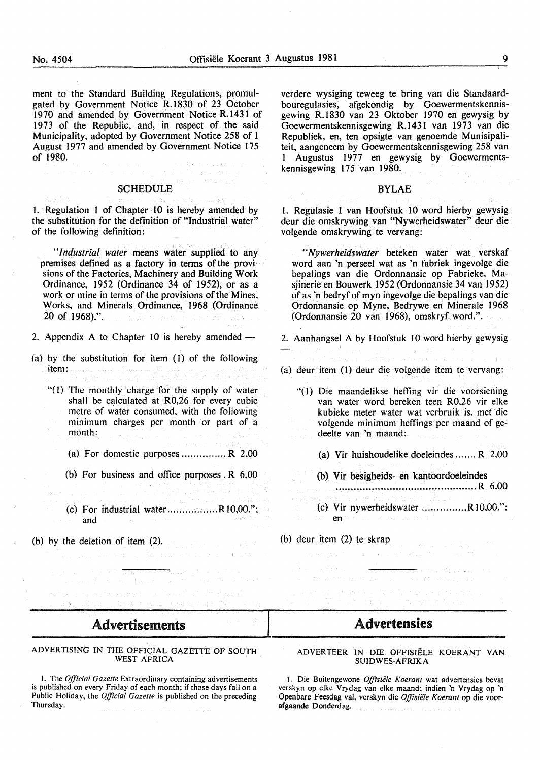ment to the Standard Building Regulations, promulgated by Government Notice R.1830 of 23 October 1970 and amended by Government Notice R.1431 of 1973 of the Republic, and, in respect of the said Municipality, adopted by Government Notice 258 of 1 August 1977 and amended by Government Notice 175 of 1980.

#### SCHEDULE

1. Regulation 1 of Chapter 10 is hereby amended by the substitution for the definition of "Industrial water" of the following definition:

*"Industrial water* means water supplied to any premises defined as a factory in terms of the provisions of the Factories, Machinery and Building Work Ordinance, 1952 (Ordinance 34 of 1952), or as a work or mine in terms of the provisions of the Mines. Works. and Minerals Ordinance, 1968 (Ordinance 20 of 1968).".

- 2. Appendix A to Chapter 10 is hereby amended  $-$
- (a) by the substitution for item (l) of the following item: Electronic and the substantial state in the second
	- "(1) The monthly charge for the supply of water shall be calculated at R0,26 for every cubic metre of water consumed, with the following minimum charges per month or part of a month:
		- (a) For domestic purposes  $\dots\dots\dots\dots R$  2,00
		- (b) For business and office purposes. R 6,00
		- (c) For industrial water.................. $R10,00."$ ; and
- (b) by the deletion of item (2).

*"Nywerheidswater* beteken water wat verskaf word aan 'n perseel wat as 'n fabriek ingevolge die bepalings van die Ordonnansie op Fabrieke, Masjinerie en Bouwerk 1952 (Ordonnansie 34 van 1952) of as 'n bedryf of myn ingevolge die bepalings van die Ordonnansie op Myne, Bedrywe en Minerale I 968

kennisgewing I75 van 1980.

volgende omskrywing te vervang:

2. Aanhangsel A by Hoofstuk 10 word hierby gewysig

(Ordonnansie 20 van 1968), omskryf word.".

verdere wysiging teweeg te bring van die Standaardbouregulasies, afgekondig by Goewermentskennisgewing R.1830 van 23 Oktober 1970 en gewysig by Goewermentskennisgewing R.1431 van 1973 van die Republiek, en, ten opsigte van genoemde Munisipaliteit, aangeneem by Goewermentskennisgewing 258 van I Augustus 1977 en gewysig by Goewerments-

BYLAE

l. Regulasie 1 van Hoofstuk 10 word hierby gewysig deur die omskrywing van "Nywerheidswater" deur die

- (a) deur item (1) deur die volgende item te vervang:
	- "(I) Die maandelikse heffing vir die voorsiening van water word bereken teen R0,26 vir elke kubieke meter water wat verbruik is. met die volgende minimum heffings per maand of gedeelte van 'n maand:
		- (a) Vir huishoudelike doeleindes ....... R 2.00
		- (b) Vir besigheids- en kantoordoeleindes
			- ............................................... R 6.00
		- (c) Vir nywerheidswater ............... R 10.00.": en
- (b) deur item (2) te skrap

## **Advertisements**

#### ADVERTISING IN THE OFFICIAL GAZETTE OF SOUTH WEST AFRICA

I. The *Official Gazette* Extraordinary containing advertisements is published on every Friday of each month; if those days fall on a Public Holiday, the *Official Gazette* is published on the preceding Thursday.

# Advertensies

#### ADVER TEER IN DIE OFFISIELE KOERANT VAN SUIDWES-AFRIKA

I. Die Buitengewone *Offisiele Koerant* wat advertensies bevat verskyn op elke Vrydag van elke maand: indien 'n Vrydag op 'n Openbare Feesdag val. verskyn die *Qlfisiiile Koerant* op die voorafgaande Donderdag.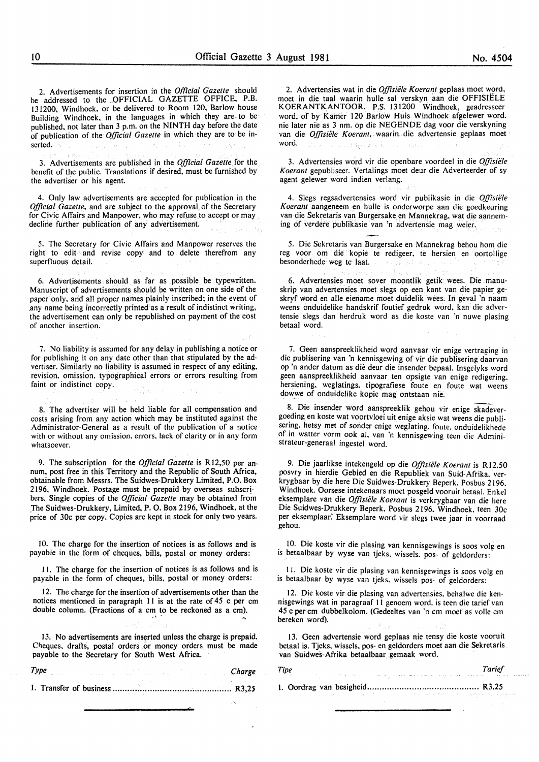2. Advertisements for insertion in the *Official Gazette* should be addressed to the OFFICIAL GAZETTE OFFICE, P.B. 131200, Windhoek, or be delivered to Room 120, Barlow house Building Windhoek, in the languages in which they are to be published, not later than 3 p.m. on the NINTH day before the date of publication of the *Official Gazette* in which they are to be in· serted.

3. Advertisements are published in the *Official Gazette* for the benefit of the public. Translations if desired, must be furnished by the advertiser or his agent.

4. Only law advertisements are accepted for publication in the *Official Gazette,* and are subject to the approval of the Secretary for Civic Affairs and Manpower, who may refuse to accept or may decline further publication of any advertisement.

5. The Secretary for Civic Affairs and Manpower reserves the right to edit and revise copy and to delete therefrom any superfluous detail.

6. Advertisements should as far as possible be typewritten. Manuscript of advertisements should be written on one side of the paper only, and all proper names plainly inscribed; in the event of .any name being incorrectly printed as a result of indistinct writing, the advertisement can only be republished on payment of the cost of another insertion.

7. No liability is assumed for any delay in publishing a notice or for publishing it on any date other than that stipulated by the advertiser. Similarly no liability is assumed in respect of any editing, revision. omission. typographical errors or errors resulting from faint or indistinct copy.

8. The advertiser will be held liable for all compensation and costs arising from any action which may be instituted against the Administrator-General as a result of the publication of a notice with or without any omission. errors. lack of clarity or in any form whatsoever.

9. The subscription for the *Official Gazette* is R12,50 per annum, post free in this Territory and the Republic of South Africa, obtainable from Messrs. The Suidwes-Drukkery Limited, P.O. Box 2196, Windhoek. Postage must be prepaid by overseas subscr! bers. Single copies of the *Official Gazette* may be obtained from \_The Suidwes-Drukkery, Limited, P. 0. Box 2196, Windhoek, at the price of 30c per copy. Copies are kept in stock for only two years.

10. The charge for the insertion of notices is as follows and is payable in the form of cheques, bills, postal or money orders:

II. The charge for the insertion of notices is as follows and is payable in the form of cheques, bills, postal or money orders:

12. The charge for the insertion of advertisements other than the notices mentioned in paragraph 11 is at the rate of 45 c per cm double column. (Fractions of a cm to be reckoned as a cm).

13. No advertisements are inserted unless the charge is prepaid. Cheques, drafts, postal orders or money orders must be made payable to the Secretary for South West Africa.

*Type Charge*  1. Transfer of business ................................................ R3,2S

2. Advertensies wat in die *Offisiele Koerant* geplaas moet word, moet in die taal waarin hulle sal verskyn aan die OFFISIELE K OERANTKANTOOR, P.S. 131200 Windhoek, geadresseer word, of by Kamer 120 Barlow Huis Windhoek afgelewer word. nie later nie as 3 nm. op die NEG EN DE dag voor die verskyning van die *Offisiele Koerant,* waarin die advertensie geplaas moet word. Jackson College

3. Advertensies word vir die openbare voordeel in die *Offisiele Koerant* gepubliseer. Vertalings moet deur die Adverteerder of sy agent gelewer word indien verlang.

4. Slegs regsadvertensies word vir publikasie in die *Offisiele K oerant* aangeneem en hulle is onderworpe aan die goedkeuring van die Sekretaris van Burgersake en Mannekrag, wat die aanneming of verdere publikasie van 'n advertensie mag weier.

5. Die Sekretaris van Burgersake en Mannekrag behou hom die reg voor om die kopie te redigeer, te hersien en oortollige besonderhede weg te laat.

6. Advertensies moet sover moontlik getik wees. Die manuskrip van advertensies moet slegs op een kant van die papier geskryf word en aile eiename moet duidelik wees. In geval 'n naam weens onduidelike handskrif foutief gedruk word, kan die advertensie slegs dan herdruk word as die koste van 'n nuwe plasing betaal word.

7. Geen aanspreeklikheid word aanvaar vir enige vertraging in die publisering van 'n kennisgewing of vir die publisering daarvan op 'n ander datum as die deur die insender bepaal. Insgelyks word geen aanspreeklikheid aanvaar ten opsigte van enige redigering. hersiening. weglatings. tipografiese foute en foute wat weens dowwe of onduidelike kopie mag ontstaan nie.

8. Die insender word aanspreeklik gehou vir enige skadevergoeding en koste wat voortvloei uit enige aksie wat weens die publisering, hetsy met of sonder enige weglating. foute. onduidelikhede of in watter vorm ook al. van 'n kennisgewing teen die Administrateur-generaal ingestel word.

9. Die jaarlikse intekengeld op die *Offisie/e K oerant* is R 12.50 posvry in hierdie Gebied en die Republiek van Suid-Afrika. verkrygbaar by die here Die Suidwes-Drukkery Beperk. Posbus 2196. Windhoek. Oorsese intekenaars moet posgeld vooruit betaal. Enkel eksemplare van die *Offisiele Koerant* is verkrygbaar van die here Die Suidwes-Drukkery Beperk. Posbus 2196. Windhoek. teen 30c per eksemplaar: Eksemplare word vir slegs twee jaar in voorraad gehou.

10. Die koste vir die plasing van kennisgewings is soos volg en is betaalbaar by wyse van tjeks. wissels. pos- of geldorders:

I I. Die koste vir die plasing van kennisgewings is soos volg en is betaalbaar by wyse van tjeks. wissels pos- of geldorders:

12. Die koste vir die plasing van advertensies. behalwe die kennisgewings wat in paragraaf 11 genoem word. is teen die tarief van 45 c per em dubbelkolom. (Gedeeltes van ·n em moet as volle em bereken word).

13. Geen advertensie word geplaas nie tensy die koste vooruit betaal is. Tjeks. wissels. pos- en geldorders moet aan die Sekretaris van Suidwes-Afrika betaalbaar gemaak word.

*Tipe Tarief*  1. Oordrag van besigheid ............................................. R3.25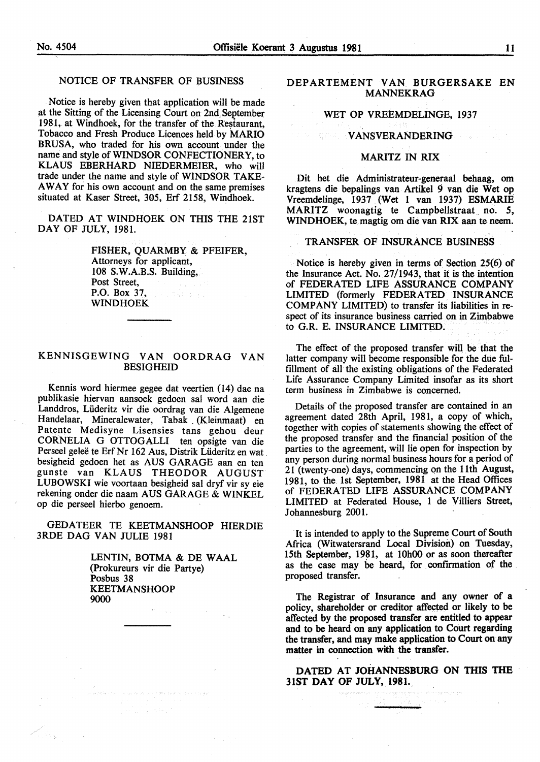#### NOTICE OF TRANSFER OF BUSINESS

Notice is hereby given that application will be made at the Sitting of the Licensing Court on 2nd September 1981, at Windhoek, for the transfer of the Restaurant, Tobacco and Fresh Produce Licences held by MARIO BRUSA, who traded for his own account under the name and style of WINDSOR CONFECTIONERY, to KLAUS EBERHARD NIEDERMEIER, who will trade under the name and style of WINDSOR TAKE-AWAY for his own account and on the same premises situated at Kaser Street, 305, Erf 2158, Windhoek.

DATED AT WINDHOEK ON THIS THE 21ST DAY OF JULY, 1981.

> FISHER, QUARMBY & PFEIFER, Attorneys for applicant, 108 S.W.A.B.S. Building, Post Street, P.O. Box 37, WINDHOEK

#### KENNISGEWING VAN OORDRAG VAN BESIGHEID

Kennis word hiermee gegee dat veertien (14) dae na publikasie hiervan aansoek gedoen sal word aan die Landdros, Liideritz vir die oordrag van die Algemene Handelaar, Mineralewater, Tabak . (Kleinmaat) en Patente Medisyne Lisensies tans gehou deur CORNELIA G OTTOGALLI ten opsigte van die Perseel geleë te Erf Nr 162 Aus, Distrik Lüderitz en wat. besigheid gedoen het as AUS GARAGE aan en ten gunste van KLAUS THEODOR AUGUST LUBOWSKI wie voortaan besigheid sal dryf vir sy eie rekening onder die naam AUS GARAGE & WINKEL op die perseel hierbo genoem.

GEDATEER TE KEETMANSHOOP HIERDIE 3RDE DAG VAN JULIE 1981

> LENTIN, BOTMA & DE WAAL (Prokureurs vir die Partye) Posbus 38 KEETMANSHOOP 9000

#### DEPARTEMENT VAN BURGERSAKE EN MANNEKRAG

### WET OP VREEMDELINGE, 1937

#### VANSVERANDERING

#### MARITZ IN RIX

Dit het die Administrateur-generaal behaag, om kragtens die bepalings van Artikel 9 van die Wet op Vreemdelinge, 1937 (Wet 1 van 1937) ESMARIE MARITZ woonagtig te Campbellstraat no. 5, WINDHOEK, te magtig om die van RIX aan te neem.

#### TRANSFER OF INSURANCE BUSINESS

Notice is hereby given in terms of Section 25(6) of the Insurance Act. No. 27/1943, that it is the intention of FEDERATED LIFE ASSURANCE COMPANY LIMITED (formerly FEDERATED INSURANCE COMPANY LIMITED) to transfer its liabilities in respect of its insurance business carried on in Zimbabwe to G.R. E. INSURANCE LIMITED.

The effect of the proposed transfer will be that the latter company will become responsible for the due fulfillment of all the existing obligations of the Federated Life Assurance Company Limited insofar as its short term business in Zimbabwe is concerned.

Details of the proposed transfer are contained in an agreement dated 28th April, 1981, a copy of which, together with copies of statements showing the effect of the proposed transfer and the financial position of the parties to the agreement, will lie open for inspection by any person during normal business hours for a period of 21 (twenty-one) days, commencing on the 11th August, 1981, to the 1st September, 1981 at the Head Offices of FEDERATED LIFE ASSURANCE COMPANY LIMITED at Federated House, 1 de Villiers Street, Johannesburg 2001.

It is intended to apply to the Supreme Court of South Africa (Witwatersrand Local Division) on Tuesday, 15th September, 1981, at 10h00 or as soon thereafter as the case may be heard, for confrrmation of the proposed transfer.

The Registrar of Insurance and any owner of a policy, shareholder or creditor affected or likely to be affected by the proposed transfer are entitled to appear and to be heard on any application to Court regarding the transfer, and may make application to Court on any matter in connection with the transfer.

DATED AT JOHANNESBURG ON THIS THE 31ST DAY OF JULY, 1981.\_